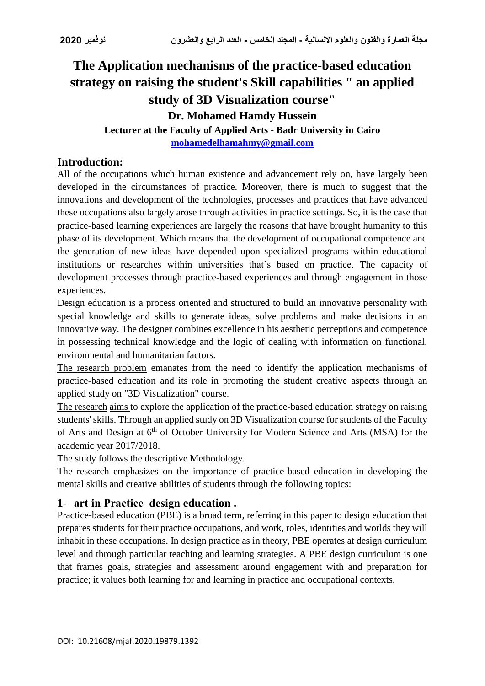# **The Application mechanisms of the practice-based education strategy on raising the student's Skill capabilities " an applied study of 3D Visualization course" Dr. Mohamed Hamdy Hussein**

**Lecturer at the Faculty of Applied Arts - Badr University in Cairo [mohamedelhamahmy@gmail.com](mailto:mohamedelhamahmy@gmail.com)**

# **Introduction:**

All of the occupations which human existence and advancement rely on, have largely been developed in the circumstances of practice. Moreover, there is much to suggest that the innovations and development of the technologies, processes and practices that have advanced these occupations also largely arose through activities in practice settings. So, it is the case that practice-based learning experiences are largely the reasons that have brought humanity to this phase of its development. Which means that the development of occupational competence and the generation of new ideas have depended upon specialized programs within educational institutions or researches within universities that's based on practice. The capacity of development processes through practice-based experiences and through engagement in those experiences.

Design education is a process oriented and structured to build an innovative personality with special knowledge and skills to generate ideas, solve problems and make decisions in an innovative way. The designer combines excellence in his aesthetic perceptions and competence in possessing technical knowledge and the logic of dealing with information on functional, environmental and humanitarian factors.

The research problem emanates from the need to identify the application mechanisms of practice-based education and its role in promoting the student creative aspects through an applied study on "3D Visualization" course.

The research aims to explore the application of the practice-based education strategy on raising students' skills. Through an applied study on 3D Visualization course for students of the Faculty of Arts and Design at 6<sup>th</sup> of October University for Modern Science and Arts (MSA) for the academic year 2017/2018.

The study follows the descriptive Methodology.

The research emphasizes on the importance of practice-based education in developing the mental skills and creative abilities of students through the following topics:

# **1- art in Practice design education .**

Practice-based education (PBE) is a broad term, referring in this paper to design education that prepares students for their practice occupations, and work, roles, identities and worlds they will inhabit in these occupations. In design practice as in theory, PBE operates at design curriculum level and through particular teaching and learning strategies. A PBE design curriculum is one that frames goals, strategies and assessment around engagement with and preparation for practice; it values both learning for and learning in practice and occupational contexts.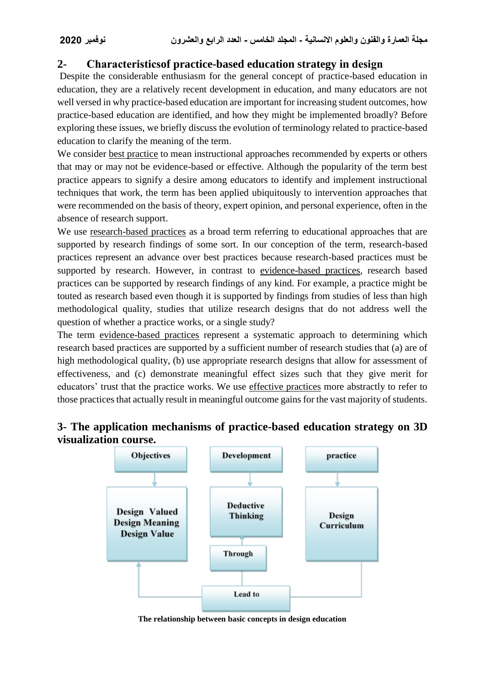# **2- Characteristicsof practice-based education strategy in design**

Despite the considerable enthusiasm for the general concept of practice-based education in education, they are a relatively recent development in education, and many educators are not well versed in why practice-based education are important for increasing student outcomes, how practice-based education are identified, and how they might be implemented broadly? Before exploring these issues, we briefly discuss the evolution of terminology related to practice-based education to clarify the meaning of the term.

We consider best practice to mean instructional approaches recommended by experts or others that may or may not be evidence-based or effective. Although the popularity of the term best practice appears to signify a desire among educators to identify and implement instructional techniques that work, the term has been applied ubiquitously to intervention approaches that were recommended on the basis of theory, expert opinion, and personal experience, often in the absence of research support.

We use research-based practices as a broad term referring to educational approaches that are supported by research findings of some sort. In our conception of the term, research-based practices represent an advance over best practices because research-based practices must be supported by research. However, in contrast to evidence-based practices, research based practices can be supported by research findings of any kind. For example, a practice might be touted as research based even though it is supported by findings from studies of less than high methodological quality, studies that utilize research designs that do not address well the question of whether a practice works, or a single study?

The term evidence-based practices represent a systematic approach to determining which research based practices are supported by a sufficient number of research studies that (a) are of high methodological quality, (b) use appropriate research designs that allow for assessment of effectiveness, and (c) demonstrate meaningful effect sizes such that they give merit for educators' trust that the practice works. We use effective practices more abstractly to refer to those practices that actually result in meaningful outcome gains for the vast majority of students.

# **3- The application mechanisms of practice-based education strategy on 3D visualization course.**



**The relationship between basic concepts in design education**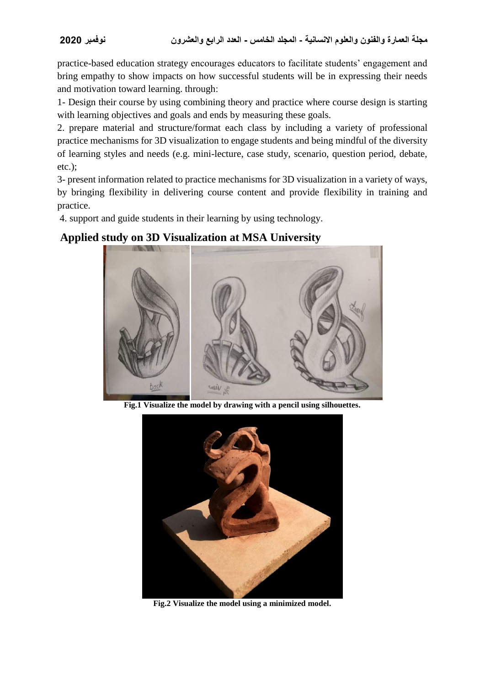practice-based education strategy encourages educators to facilitate students' engagement and bring empathy to show impacts on how successful students will be in expressing their needs and motivation toward learning. through:

1- Design their course by using combining theory and practice where course design is starting with learning objectives and goals and ends by measuring these goals.

2. prepare material and structure/format each class by including a variety of professional practice mechanisms for 3D visualization to engage students and being mindful of the diversity of learning styles and needs (e.g. mini-lecture, case study, scenario, question period, debate, etc.);

3- present information related to practice mechanisms for 3D visualization in a variety of ways, by bringing flexibility in delivering course content and provide flexibility in training and practice.

4. support and guide students in their learning by using technology.

## **Applied study on 3D Visualization at MSA University**



**Fig.1 Visualize the model by drawing with a pencil using silhouettes.**



**Fig.2 Visualize the model using a minimized model.**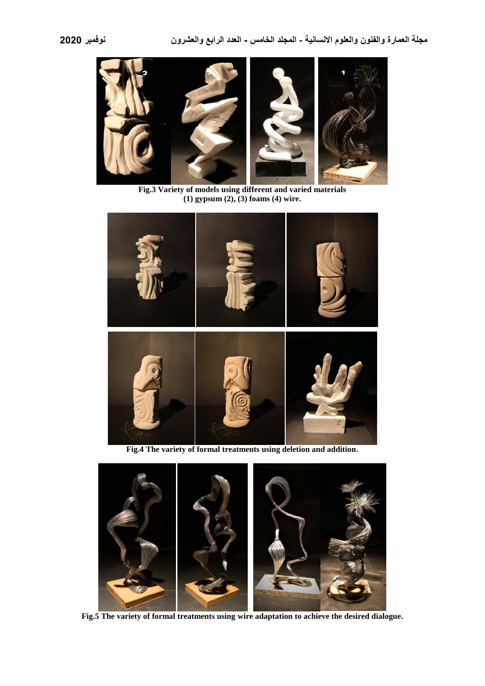

**Fig.3 Variety of models using different and varied materials (1) gypsum (2), (3) foams (4) wire.**



**Fig.4 The variety of formal treatments using deletion and addition.**



**Fig.5 The variety of formal treatments using wire adaptation to achieve the desired dialogue.**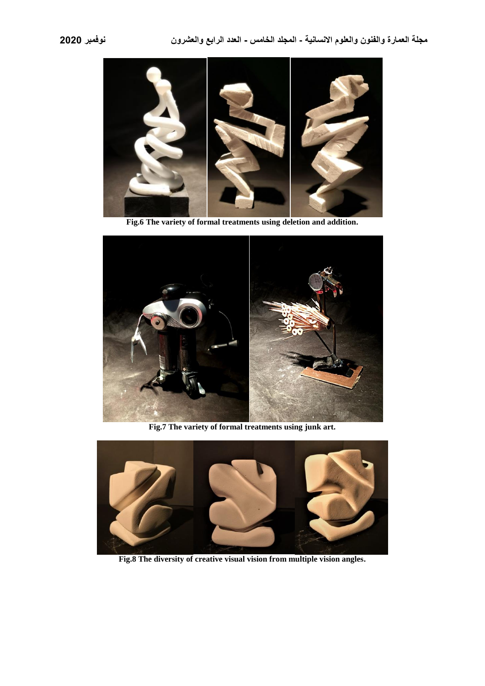

**Fig.6 The variety of formal treatments using deletion and addition.**



**Fig.7 The variety of formal treatments using junk art.**



**Fig.8 The diversity of creative visual vision from multiple vision angles.**